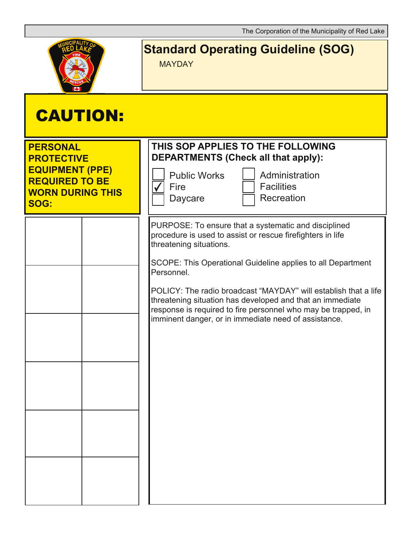

## **Standard Operating Guideline (SOG)**

MAYDAY

| <b>CAUTION:</b>                                                                                                            |                                                                                                                                                                                                                                                                                                                                                                                                                                                                                     |
|----------------------------------------------------------------------------------------------------------------------------|-------------------------------------------------------------------------------------------------------------------------------------------------------------------------------------------------------------------------------------------------------------------------------------------------------------------------------------------------------------------------------------------------------------------------------------------------------------------------------------|
| <b>PERSONAL</b><br><b>PROTECTIVE</b><br><b>EQUIPMENT (PPE)</b><br><b>REQUIRED TO BE</b><br><b>WORN DURING THIS</b><br>SOG: | THIS SOP APPLIES TO THE FOLLOWING<br><b>DEPARTMENTS (Check all that apply):</b><br><b>Public Works</b><br>Administration<br><b>Facilities</b><br>Fire<br>Recreation<br>Daycare                                                                                                                                                                                                                                                                                                      |
|                                                                                                                            | PURPOSE: To ensure that a systematic and disciplined<br>procedure is used to assist or rescue firefighters in life<br>threatening situations.<br>SCOPE: This Operational Guideline applies to all Department<br>Personnel.<br>POLICY: The radio broadcast "MAYDAY" will establish that a life<br>threatening situation has developed and that an immediate<br>response is required to fire personnel who may be trapped, in<br>imminent danger, or in immediate need of assistance. |